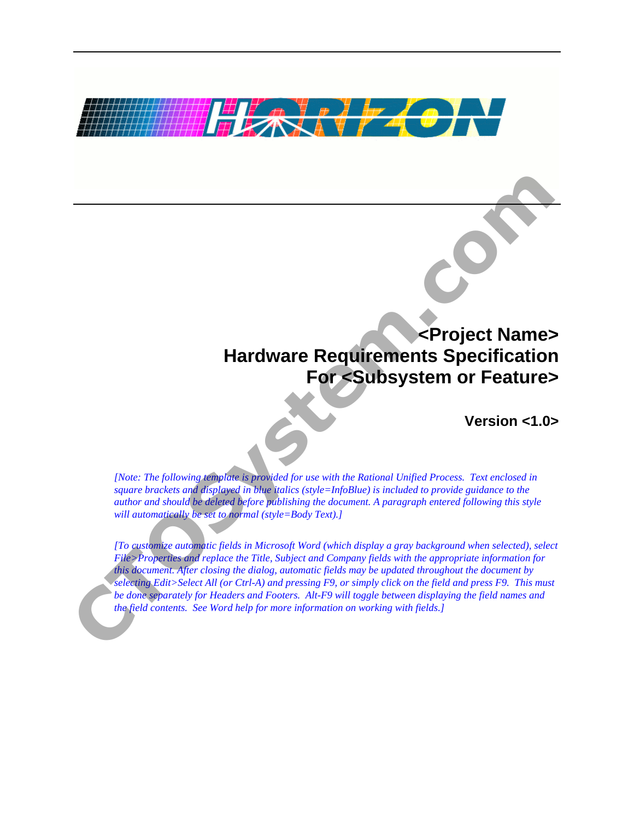

# **<Project Name> Hardware Requirements Specification For <Subsystem or Feature>**

**Version <1.0>** 

*[Note: The following template is provided for use with the Rational Unified Process. Text enclosed in square brackets and displayed in blue italics (style=InfoBlue) is included to provide guidance to the author and should be deleted before publishing the document. A paragraph entered following this style will automatically be set to normal (style=Body Text).]* 

*[To customize automatic fields in Microsoft Word (which display a gray background when selected), select File>Properties and replace the Title, Subject and Company fields with the appropriate information for this document. After closing the dialog, automatic fields may be updated throughout the document by selecting Edit>Select All (or Ctrl-A) and pressing F9, or simply click on the field and press F9. This must be done separately for Headers and Footers. Alt-F9 will toggle between displaying the field names and the field contents. See Word help for more information on working with fields.]*  **CHANGE CONSTRANS CONSTRANS CONSTRANS CONSTRANS CONSTRANS CONSTRANS CONSTRANS CONSTRANS CONSTRANS CONSTRANS CONSTRANS CONSTRANS CONSTRANS CONSTRANS CONSTRANS CONSTRANS CONSTRANS CONSTRANS CONSTRANS CONSTRANS CONSTRANS CONS**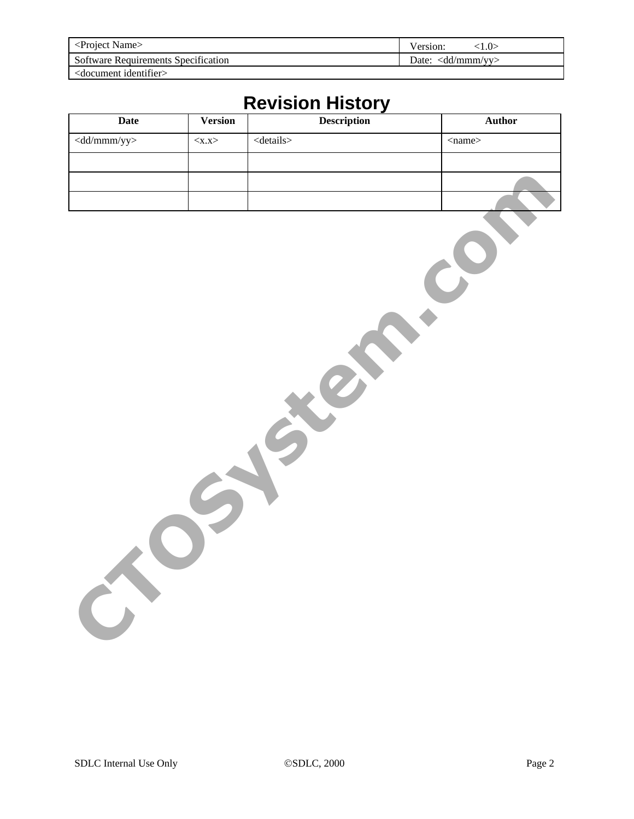| $\epsilon$ Project Name $>$                | $\cup$<br>Version:                |  |
|--------------------------------------------|-----------------------------------|--|
| <b>Software Requirements Specification</b> | Date: $\langle d/dmmm/mv \rangle$ |  |
| <document identifier=""></document>        |                                   |  |

# **Revision History**

| Date                                   | Version     | Description     | Author       |
|----------------------------------------|-------------|-----------------|--------------|
| $\langle \overline{dd/mmm/yy} \rangle$ | $<$ x.x $>$ | $<$ details $>$ | $<$ name $>$ |
|                                        |             |                 |              |
|                                        |             |                 |              |
|                                        |             |                 |              |
|                                        |             |                 |              |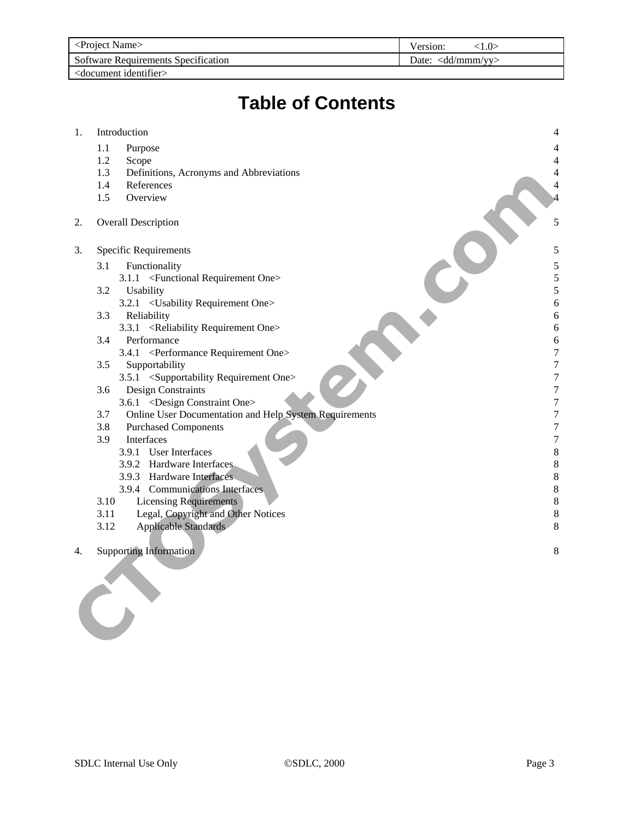| <project name=""></project>         | Version:<br>10                    |  |
|-------------------------------------|-----------------------------------|--|
| Software Requirements Specification | Date: $\langle d/dmmm/mv \rangle$ |  |
| $<$ document identifier $>$         |                                   |  |

# **Table of Contents**

| 1. | Introduction                                                  | $\overline{4}$ |
|----|---------------------------------------------------------------|----------------|
|    | 1.1<br>Purpose                                                |                |
|    | 1.2<br>Scope                                                  |                |
|    | 1.3<br>Definitions, Acronyms and Abbreviations                |                |
|    | 1.4<br>References                                             |                |
|    | 1.5<br>Overview                                               |                |
|    |                                                               |                |
| 2. | <b>Overall Description</b>                                    |                |
| 3. | Specific Requirements                                         | 5              |
|    | 3.1<br>Functionality                                          | 5              |
|    | 3.1.1 <functional one="" requirement=""></functional>         | 5              |
|    | 3.2<br>Usability                                              | 5              |
|    | 3.2.1 < Usability Requirement One>                            | 6              |
|    | 3.3<br>Reliability                                            | 6              |
|    | 3.3.1 <reliability one="" requirement=""></reliability>       | 6              |
|    | 3.4<br>Performance                                            | 6              |
|    | <performance one="" requirement=""><br/>3.4.1</performance>   | 7              |
|    | 3.5<br>Supportability                                         | 7              |
|    | 3.5.1 <supportability one="" requirement=""></supportability> | 7              |
|    | <b>Design Constraints</b><br>3.6                              | 7              |
|    | 3.6.1 <design constraint="" one=""></design>                  | 7              |
|    | Online User Documentation and Help System Requirements<br>3.7 | 7              |
|    | 3.8<br><b>Purchased Components</b>                            | 7              |
|    | 3.9<br>Interfaces                                             | 7              |
|    | 3.9.1 User Interfaces                                         | 8              |
|    | 3.9.2 Hardware Interfaces                                     | 8              |
|    | 3.9.3 Hardware Interfaces                                     | 8              |
|    | 3.9.4 Communications Interfaces                               | 8              |
|    | 3.10<br><b>Licensing Requirements</b>                         | 8              |
|    | Legal, Copyright and Other Notices<br>3.11                    | 8              |
|    | <b>Applicable Standards</b><br>3.12                           | 8              |
| 4. | <b>Supporting Information</b>                                 | 8              |
|    |                                                               |                |
|    |                                                               |                |
|    |                                                               |                |
|    |                                                               |                |
|    |                                                               |                |
|    |                                                               |                |
|    |                                                               |                |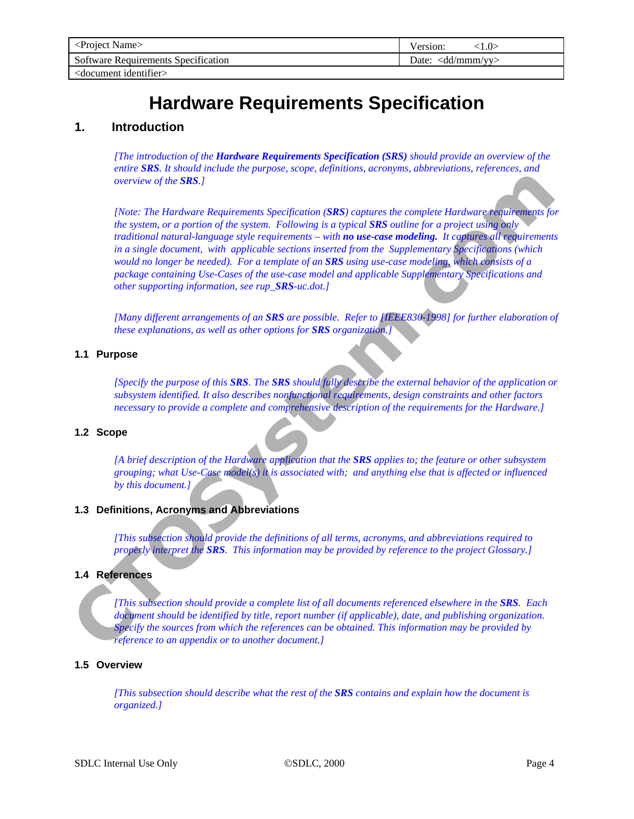# **Hardware Requirements Specification**

# <span id="page-3-0"></span>**1. Introduction**

*[The introduction of the Hardware Requirements Specification (SRS) should provide an overview of the entire SRS. It should include the purpose, scope, definitions, acronyms, abbreviations, references, and overview of the SRS.]* 

*[Note: The Hardware Requirements Specification (SRS) captures the complete Hardware requirements for the system, or a portion of the system. Following is a typical SRS outline for a project using only traditional natural-language style requirements – with no use-case modeling. It captures all requirements in a single document, with applicable sections inserted from the Supplementary Specifications (which would no longer be needed). For a template of an SRS using use-case modeling, which consists of a package containing Use-Cases of the use-case model and applicable Supplementary Specifications and other supporting information, see rup\_SRS-uc.dot.]*  Externe of the SHS.]<br>
(Note: The Hardware Requirements Specification (SKS) coptures the complete Hardware residuements<br>
in experiment of photoion (SMS) is a proposition of the system. Following in a cyclic complete that a

*[Many different arrangements of an SRS are possible. Refer to [IEEE830-1998] for further elaboration of these explanations, as well as other options for SRS organization.]* 

## **1.1 Purpose**

*[Specify the purpose of this SRS. The SRS should fully describe the external behavior of the application or subsystem identified. It also describes nonfunctional requirements, design constraints and other factors necessary to provide a complete and comprehensive description of the requirements for the Hardware.]* 

## **1.2 Scope**

*[A brief description of the Hardware application that the SRS applies to; the feature or other subsystem grouping; what Use-Case model(s) it is associated with; and anything else that is affected or influenced by this document.]* 

# **1.3 Definitions, Acronyms and Abbreviations**

*[This subsection should provide the definitions of all terms, acronyms, and abbreviations required to properly interpret the SRS. This information may be provided by reference to the project Glossary.]* 

# **1.4 References**

*[This subsection should provide a complete list of all documents referenced elsewhere in the SRS. Each document should be identified by title, report number (if applicable), date, and publishing organization. Specify the sources from which the references can be obtained. This information may be provided by reference to an appendix or to another document.]* 

## **1.5 Overview**

*[This subsection should describe what the rest of the SRS contains and explain how the document is organized.]*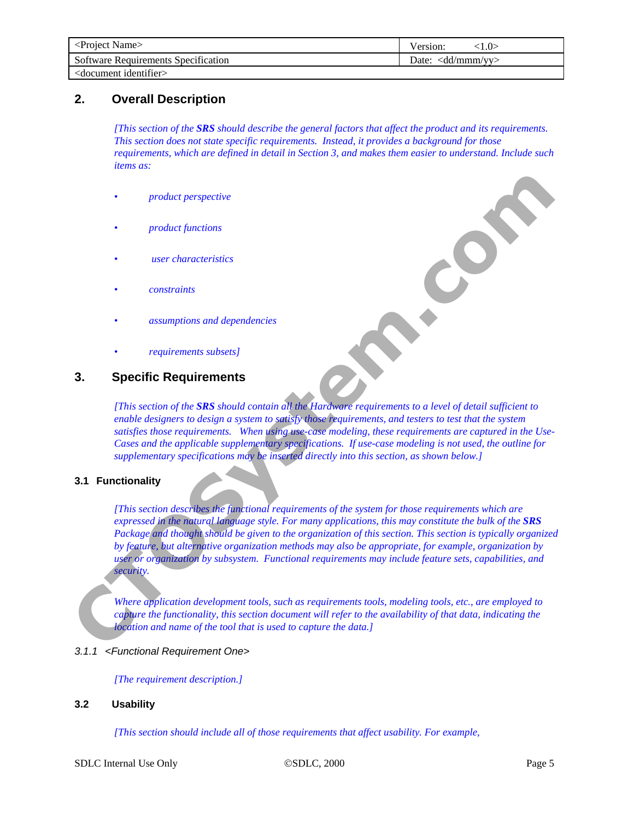<span id="page-4-0"></span>

| <project name=""></project>                                  | Version:                           |
|--------------------------------------------------------------|------------------------------------|
| Software Requirements Specification                          | Date: $\langle d/d/mmm/vv \rangle$ |
| $\alpha$ <document identifier<="" td=""><td></td></document> |                                    |

# **2. Overall Description**

*[This section of the SRS should describe the general factors that affect the product and its requirements. This section does not state specific requirements. Instead, it provides a background for those requirements, which are defined in detail in Section 3, and makes them easier to understand. Include such items as:* 

- *product perspective*
- *product functions*
- *user characteristics*
- *constraints*
- *assumptions and dependencies*
- *requirements subsets]*

# **3. Specific Requirements**

*[This section of the SRS should contain all the Hardware requirements to a level of detail sufficient to enable designers to design a system to satisfy those requirements, and testers to test that the system satisfies those requirements. When using use-case modeling, these requirements are captured in the Use-Cases and the applicable supplementary specifications. If use-case modeling is not used, the outline for supplementary specifications may be inserted directly into this section, as shown below.]* 

# **3.1 Functionality**

*[This section describes the functional requirements of the system for those requirements which are expressed in the natural language style. For many applications, this may constitute the bulk of the SRS Package and thought should be given to the organization of this section. This section is typically organized by feature, but alternative organization methods may also be appropriate, for example, organization by user or organization by subsystem. Functional requirements may include feature sets, capabilities, and security.*  Froduct functions<br>
there characteristics<br>
the characteristics<br>
constraints<br>
complements subsets of<br>
complements subsets of<br> **CTOSYSTER Requirements**<br>
Constraints<br>
This evolve requirements subsets of<br> **CTOSYSTER CRIP CONSUL** 

*Where application development tools, such as requirements tools, modeling tools, etc., are employed to capture the functionality, this section document will refer to the availability of that data, indicating the location and name of the tool that is used to capture the data.]* 

# *3.1.1 <Functional Requirement One>*

*[The requirement description.]* 

## **3.2 Usability**

*[This section should include all of those requirements that affect usability. For example,*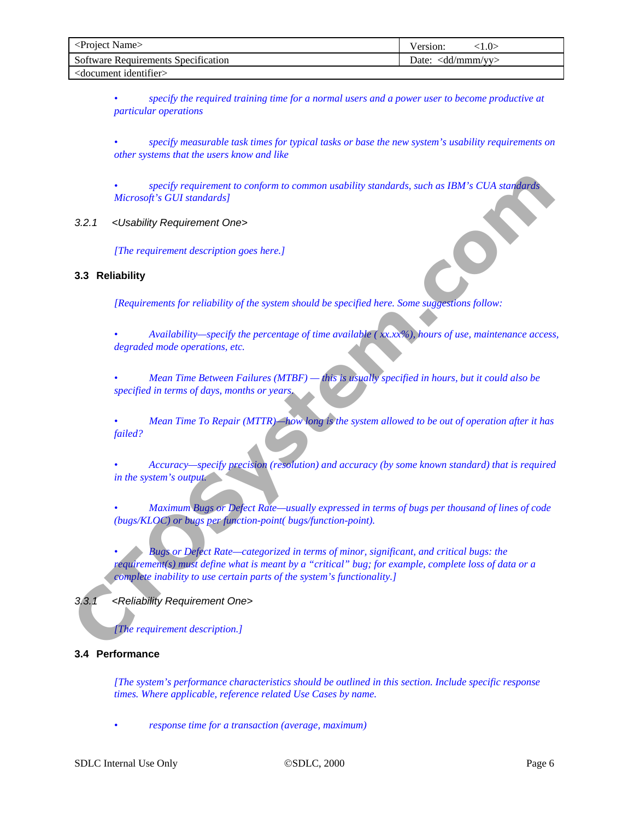<span id="page-5-0"></span>

| <project name=""></project>                | ()><br>Version:                   |
|--------------------------------------------|-----------------------------------|
| <b>Software Requirements Specification</b> | Date: $\langle d/d/mmm/m \rangle$ |
| <document identifier=""></document>        |                                   |

*• specify the required training time for a normal users and a power user to become productive at particular operations* 

*• specify measurable task times for typical tasks or base the new system's usability requirements on other systems that the users know and like* 

*• specify requirement to conform to common usability standards, such as IBM's CUA standards Microsoft's GUI standards]* 

*3.2.1 <Usability Requirement One>* 

*[The requirement description goes here.]* 

#### **3.3 Reliability**

*[Requirements for reliability of the system should be specified here. Some suggestions follow:* 

*• Availability—specify the percentage of time available ( xx.xx%), hours of use, maintenance access, degraded mode operations, etc.* 

*• Mean Time Between Failures (MTBF) — this is usually specified in hours, but it could also be specified in terms of days, months or years.* 

*• Mean Time To Repair (MTTR)—how long is the system allowed to be out of operation after it has failed?* 

*• Accuracy—specify precision (resolution) and accuracy (by some known standard) that is required in the system's output.* 

*• Maximum Bugs or Defect Rate—usually expressed in terms of bugs per thousand of lines of code (bugs/KLOC) or bugs per function-point( bugs/function-point).* 

*• Bugs or Defect Rate—categorized in terms of minor, significant, and critical bugs: the requirement(s) must define what is meant by a "critical" bug; for example, complete loss of data or a complete inability to use certain parts of the system's functionality.]*  specify requirement to conjoin to common usability sundants, such as IBM's CUA sundants<br>
Microsoft's GUI sundants |<br> **CT**<br> **CT**<br> **CT**<br> **CT**<br> **CT**<br> **CT**<br> **CT**<br> **CT**<br> **CT**<br> **CT**<br> **CT**<br> **CT**<br> **CT**<br> **CT**<br> **CT**<br> **CT**<br> **CT**<br> **CT** 

*3.3.1 <Reliability Requirement One>* 

*[The requirement description.]* 

# **3.4 Performance**

*[The system's performance characteristics should be outlined in this section. Include specific response times. Where applicable, reference related Use Cases by name.* 

*• response time for a transaction (average, maximum)*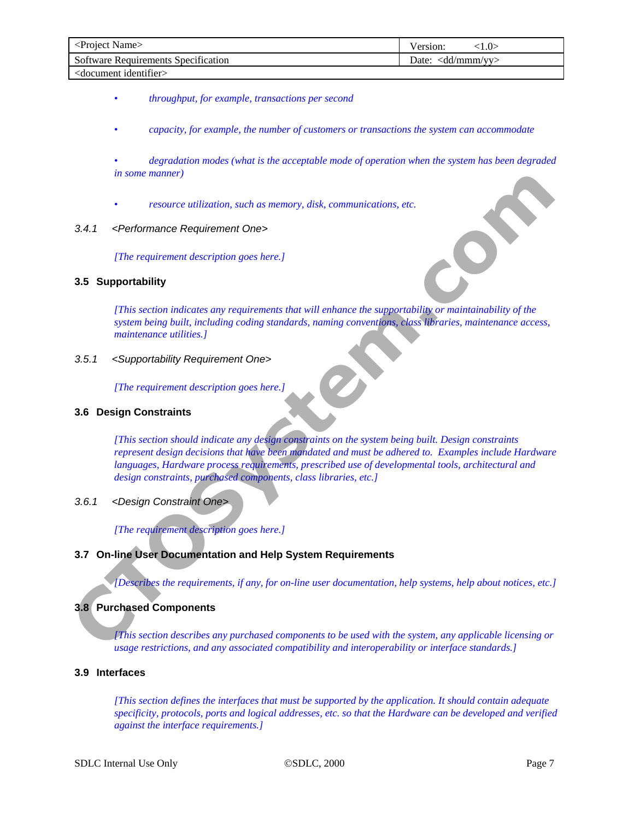<span id="page-6-0"></span>

| <project name=""></project>         | Version:<br>l .O>               |
|-------------------------------------|---------------------------------|
| Software Requirements Specification | Date: $\langle dd/mmm/m\rangle$ |
| <document identifier=""></document> |                                 |

- *throughput, for example, transactions per second*
- *capacity, for example, the number of customers or transactions the system can accommodate*
- *degradation modes (what is the acceptable mode of operation when the system has been degraded in some manner)*
- *resource utilization, such as memory, disk, communications, etc.*

#### *3.4.1 <Performance Requirement One>*

*[The requirement description goes here.]* 

#### **3.5 Supportability**

*[This section indicates any requirements that will enhance the supportability or maintainability of the system being built, including coding standards, naming conventions, class libraries, maintenance access, maintenance utilities.]* 

*3.5.1 <Supportability Requirement One>* 

*[The requirement description goes here.]* 

#### **3.6 Design Constraints**

*[This section should indicate any design constraints on the system being built. Design constraints represent design decisions that have been mandated and must be adhered to. Examples include Hardware languages, Hardware process requirements, prescribed use of developmental tools, architectural and design constraints, purchased components, class libraries, etc.]*  **CONSIDENT AND ACTES (CONSIDENT AND ACTES)**<br>
CHARGE CONSIDERATION (CONSIDERATION CONSIDERATION) This section indicates any requirements that will enhance the supportability or maintainability of the<br>
CTOS Supportability<br>
(

## *3.6.1 <Design Constraint One>*

*[The requirement description goes here.]* 

## **3.7 On-line User Documentation and Help System Requirements**

*[Describes the requirements, if any, for on-line user documentation, help systems, help about notices, etc.]* 

## **3.8 Purchased Components**

*[This section describes any purchased components to be used with the system, any applicable licensing or usage restrictions, and any associated compatibility and interoperability or interface standards.]* 

# **3.9 Interfaces**

*[This section defines the interfaces that must be supported by the application. It should contain adequate specificity, protocols, ports and logical addresses, etc. so that the Hardware can be developed and verified against the interface requirements.]*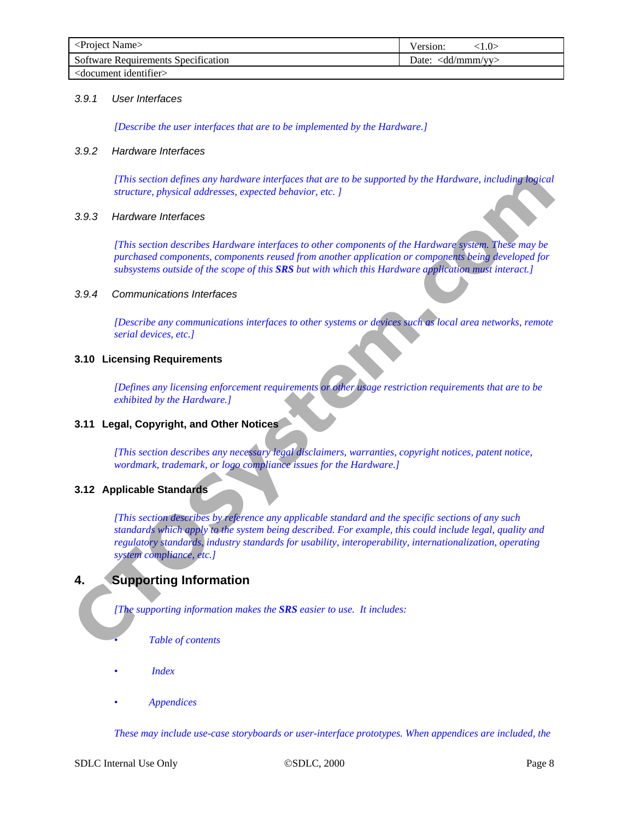<span id="page-7-0"></span>

| <project name=""></project>                | ∶1.0><br>Version:                              |
|--------------------------------------------|------------------------------------------------|
| <b>Software Requirements Specification</b> | Date: $\langle \text{dd}/\text{mmm/vy}\rangle$ |
| <document identifier=""></document>        |                                                |

#### *3.9.1 User Interfaces*

*[Describe the user interfaces that are to be implemented by the Hardware.]* 

#### *3.9.2 Hardware Interfaces*

*[This section defines any hardware interfaces that are to be supported by the Hardware, including logical structure, physical addresses, expected behavior, etc. ]* 

## *3.9.3 Hardware Interfaces*

*[This section describes Hardware interfaces to other components of the Hardware system. These may be purchased components, components reused from another application or components being developed for subsystems outside of the scope of this SRS but with which this Hardware application must interact.]* 

#### *3.9.4 Communications Interfaces*

*[Describe any communications interfaces to other systems or devices such as local area networks, remote serial devices, etc.]* 

### **3.10 Licensing Requirements**

*[Defines any licensing enforcement requirements or other usage restriction requirements that are to be exhibited by the Hardware.]* 

## **3.11 Legal, Copyright, and Other Notices**

*[This section describes any necessary legal disclaimers, warranties, copyright notices, patent notice, wordmark, trademark, or logo compliance issues for the Hardware.]* 

## **3.12 Applicable Standards**

*[This section describes by reference any applicable standard and the specific sections of any such standards which apply to the system being described. For example, this could include legal, quality and regulatory standards, industry standards for usability, interoperability, internationalization, operating system compliance, etc.]*  This section defines any hardware interfaces that are to be supported by the Hardware, including highest<br> **CTOS** structure, physical dedications, excepted behavior, exc. 1<br> **CTOS** structure interfaces to other components o

# **4. Supporting Information**

*[The supporting information makes the SRS easier to use. It includes:* 

- *Table of contents*
- *Index*
- *Appendices*

*These may include use-case storyboards or user-interface prototypes. When appendices are included, the*